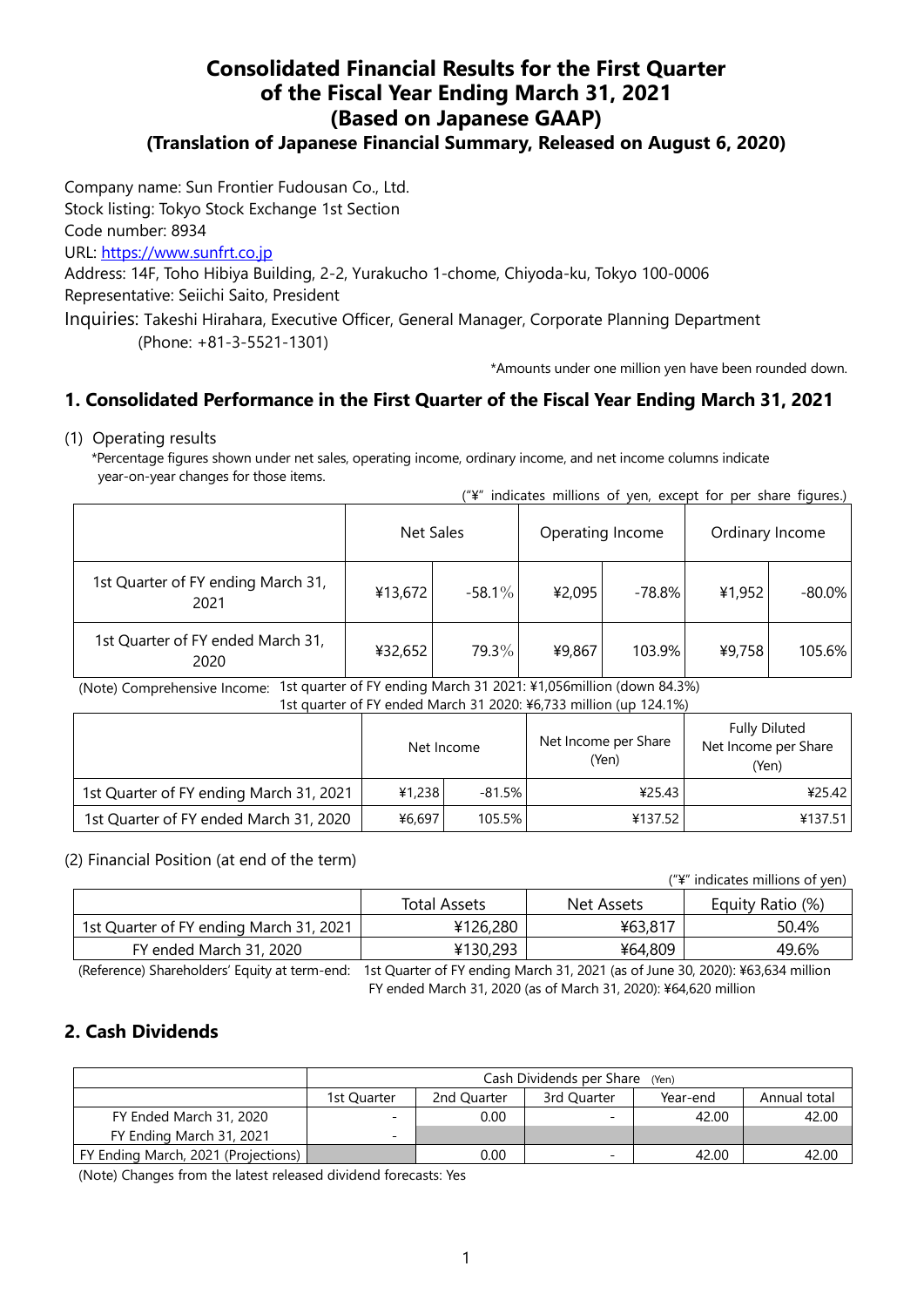# **Consolidated Financial Results for the First Quarter of the Fiscal Year Ending March 31, 2021 (Based on Japanese GAAP)**

### **(Translation of Japanese Financial Summary, Released on August 6, 2020)**

Company name: Sun Frontier Fudousan Co., Ltd.

Stock listing: Tokyo Stock Exchange 1st Section

Code number: 8934

URL: [https://www.sunfrt.co.jp](https://www.sunfrt.co.jp/)

Address: 14F, Toho Hibiya Building, 2-2, Yurakucho 1-chome, Chiyoda-ku, Tokyo 100-0006 Representative: Seiichi Saito, President

Inquiries: Takeshi Hirahara, Executive Officer, General Manager, Corporate Planning Department (Phone: +81-3-5521-1301)

\*Amounts under one million yen have been rounded down.

## **1. Consolidated Performance in the First Quarter of the Fiscal Year Ending March 31, 2021**

#### (1) Operating results

\*Percentage figures shown under net sales, operating income, ordinary income, and net income columns indicate year-on-year changes for those items.

| ("\" indicates millions of yen, except for per share figures.) |  |  |  |  |  |
|----------------------------------------------------------------|--|--|--|--|--|
|                                                                |  |  |  |  |  |

|                                            |         | Net Sales |        | Operating Income | Ordinary Income |           |
|--------------------------------------------|---------|-----------|--------|------------------|-----------------|-----------|
| 1st Quarter of FY ending March 31,<br>2021 | ¥13,672 | $-58.1\%$ | ¥2,095 | $-78.8%$         | ¥1,952          | $-80.0\%$ |
| 1st Quarter of FY ended March 31,<br>2020  | ¥32,652 | 79.3%     | ¥9,867 | 103.9%           | ¥9,758          | 105.6%    |

 (Note) Comprehensive Income: 1st quarter of FY ending March 31 2021: ¥1,056million (down 84.3%) 1st quarter of FY ended March 31 2020: ¥6,733 million (up 124.1%)

|                                         | 13t guarter Or Figurea March 3T 2020. Fo, 13t Hillion (up T24.170)<br>Net Income |          | Net Income per Share<br>(Yen) | <b>Fully Diluted</b><br>Net Income per Share<br>(Yen) |  |
|-----------------------------------------|----------------------------------------------------------------------------------|----------|-------------------------------|-------------------------------------------------------|--|
| 1st Quarter of FY ending March 31, 2021 | 41.238                                                                           | $-81.5%$ | ¥25.43                        | 425.42                                                |  |
| 1st Quarter of FY ended March 31, 2020  | ¥6,697                                                                           | 105.5%   | ¥137.52                       | ¥137.51                                               |  |

(2) Financial Position (at end of the term)

("¥" indicates millions of yen)

|                                         | <b>Total Assets</b> | Net Assets | Equity Ratio (%) |  |
|-----------------------------------------|---------------------|------------|------------------|--|
| 1st Quarter of FY ending March 31, 2021 | ¥126,280            | ¥63,817    | 50.4%            |  |
| FY ended March 31, 2020                 | ¥130,293            | ¥64,809    | 49.6%            |  |

(Reference) Shareholders' Equity at term-end: 1st Quarter of FY ending March 31, 2021 (as of June 30, 2020): ¥63,634 million

FY ended March 31, 2020 (as of March 31, 2020): ¥64,620 million

## **2. Cash Dividends**

|                                     | Cash Dividends per Share (Yen)                                        |      |   |       |       |  |  |  |
|-------------------------------------|-----------------------------------------------------------------------|------|---|-------|-------|--|--|--|
|                                     | Annual total<br>2nd Quarter<br>3rd Quarter<br>Year-end<br>1st Quarter |      |   |       |       |  |  |  |
| FY Ended March 31, 2020             |                                                                       | 0.00 | - | 42.00 | 42.00 |  |  |  |
| FY Ending March 31, 2021            | -                                                                     |      |   |       |       |  |  |  |
| FY Ending March, 2021 (Projections) |                                                                       | 0.00 | - | 42.00 | 42.00 |  |  |  |

(Note) Changes from the latest released dividend forecasts: Yes